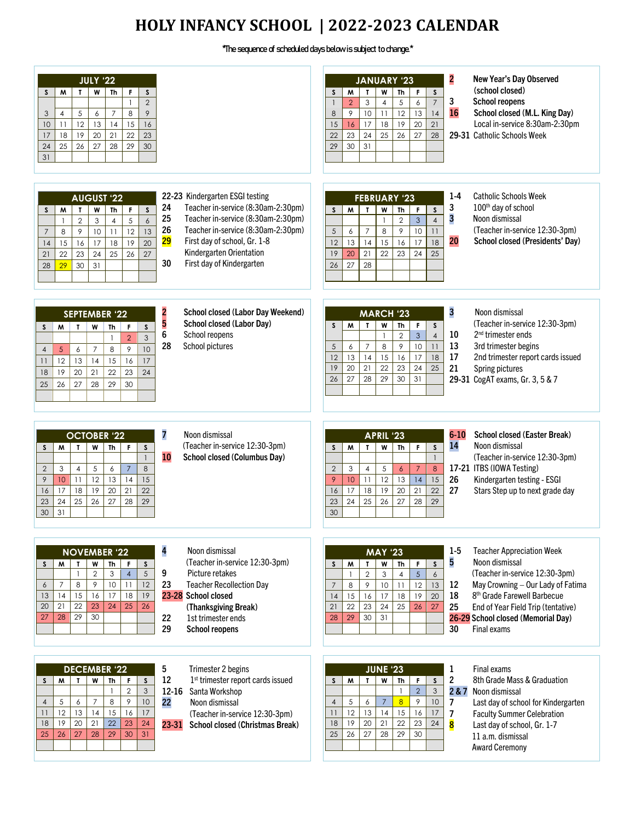# **HOLY INFANCY SCHOOL | 2022-2023 CALENDAR**

# \*The sequence of scheduled days below is subject to change.\*

| <b>JULY '22</b><br>$\mathsf{s}$<br><sub>S</sub><br>M<br>$\mathbf{r}$<br>W<br>Th<br>F.<br>$\overline{2}$<br>$\mathbf{1}$<br>$\,8\,$<br>$\overline{7}$<br>9<br>3<br>$\overline{4}$<br>$\sqrt{5}$<br>6<br>12<br>13<br>15<br>11<br>14<br>16<br>10<br>$\overline{22}$<br>20<br>21<br>23<br>18<br>19<br>17<br>28<br>29<br>25<br>26<br>27<br>30<br>24<br>31                                                                                                                                                                                                                                                                           | $\overline{2}$<br>New Year's Day Observed<br><b>JANUARY '23</b><br>(school closed)<br>S<br>M<br>W<br>Th<br>F.<br>S<br>$\mathbf{L}$<br>3<br><b>School reopens</b><br>$\overline{7}$<br>3<br>5<br>$\overline{2}$<br>$\overline{\mathbf{4}}$<br>6<br>16<br>12<br>School closed (M.L. King Day)<br>9<br>10<br>13<br>8<br>11<br>14<br>19<br>15<br>17<br>18<br>20<br>21<br>Local in-service 8:30am-2:30pm<br>16<br>25<br>29-31 Catholic Schools Week<br>23<br>24<br>26<br>27<br>22<br>28<br>30<br>31<br>29                                                                                                                                                                    |
|--------------------------------------------------------------------------------------------------------------------------------------------------------------------------------------------------------------------------------------------------------------------------------------------------------------------------------------------------------------------------------------------------------------------------------------------------------------------------------------------------------------------------------------------------------------------------------------------------------------------------------|-------------------------------------------------------------------------------------------------------------------------------------------------------------------------------------------------------------------------------------------------------------------------------------------------------------------------------------------------------------------------------------------------------------------------------------------------------------------------------------------------------------------------------------------------------------------------------------------------------------------------------------------------------------------------|
| 22-23 Kindergarten ESGI testing<br><b>AUGUST '22</b><br>24<br>Teacher in-service (8:30am-2:30pm)<br>$\mathsf S$<br>F.<br>S<br>M<br>W<br>Th<br>T<br>25<br>Teacher in-service (8:30am-2:30pm)<br>$\sqrt{5}$<br>$\overline{2}$<br>$\mathbf{3}$<br>$\overline{4}$<br>$\boldsymbol{6}$<br>$\overline{\phantom{a}}$<br>26<br>Teacher in-service (8:30am-2:30pm)<br>12<br>10<br>13<br>8<br>9<br>11<br>$\overline{7}$<br>29<br>First day of school, Gr. 1-8<br>17<br>18<br>19<br>20<br>15<br>14<br>16<br>Kindergarten Orientation<br>25<br>22<br>23<br>24<br>26<br>27<br>21<br>30<br>First day of Kindergarten<br>31<br>30<br>29<br>28 | $1-4$<br><b>Catholic Schools Week</b><br><b>FEBRUARY '23</b><br>3<br>100 <sup>th</sup> day of school<br>W<br>M<br>$\mathbf{I}$<br><b>Th</b><br>$\boldsymbol{\mathsf{S}}$<br>S<br>F<br>3<br>Noon dismissal<br>$\overline{4}$<br>$\overline{2}$<br>$\mathbf{3}$<br>$\mathbf{1}$<br>(Teacher in-service 12:30-3pm)<br>8<br>9<br>5<br>$\overline{7}$<br>10<br>6<br>11<br>20<br>School closed (Presidents' Day)<br>12<br>13<br>14<br>15<br>16<br>17<br>18<br>22<br>23<br>19<br>20<br>21<br>24<br>25<br>28<br>27<br>26                                                                                                                                                        |
| 2<br>5<br>School closed (Labor Day Weekend)<br><b>SEPTEMBER '22</b><br>School closed (Labor Day)<br>$\mathbf{L}$<br>w<br>$\mathsf{s}$<br>M<br>Th<br>F.<br>S<br>6<br>School reopens<br>3<br>$\overline{2}$<br>$\overline{1}$<br>28<br>School pictures<br>9<br>10<br>$5\phantom{.0}$<br>$\overline{7}$<br>8<br>6<br>$\overline{4}$<br>12<br>15<br>17<br>13<br>16<br>11<br>14<br>19<br>20<br>21<br>22<br>23<br>24<br>18<br>26<br>27<br>30<br>25<br>28<br>29                                                                                                                                                                       | 3<br>Noon dismissal<br><b>MARCH '23</b><br>(Teacher in-service 12:30-3pm)<br>M<br>$\mathbf{I}$<br>w<br><b>Th</b><br>S<br>F<br>S<br>2 <sup>nd</sup> trimester ends<br>10<br>$\overline{2}$<br>$\mathbf{3}$<br>$\overline{4}$<br>$\mathbf{1}$<br>9<br>13<br>8<br>$\overline{7}$<br>10<br>11<br>3rd trimester begins<br>5<br>6<br>17<br>2nd trimester report cards issued<br>12<br>13<br>14<br>15<br>16<br>17<br>18<br>22<br>23<br>24<br>19<br>20<br>21<br>25<br>21<br>Spring pictures<br>26<br>27<br>28<br>29<br>30<br>31<br>29-31 CogAT exams, Gr. 3, 5 & 7                                                                                                              |
| 7<br>Noon dismissal<br><b>OCTOBER '22</b><br>(Teacher in-service 12:30-3pm)<br><b>Th</b><br>$\mathsf{s}$<br>$\mathsf{s}$<br>M<br>$\mathbf{I}$<br>W<br>F.<br>10<br>School closed (Columbus Day)<br>$\mathbf{1}$<br>$\overline{7}$<br>8<br>5<br>$\overline{2}$<br>3<br>$\overline{4}$<br>6<br>12<br>13<br>14<br>9<br>11<br>15<br>10<br>16<br>17<br>18<br>19<br>20<br>21<br>22<br>$\overline{25}$<br>26<br>27<br>28<br>24<br>23<br>29<br>31<br>30                                                                                                                                                                                 | $6 - 10$<br>School closed (Easter Break)<br><b>APRIL '23</b><br>14<br>Noon dismissal<br>W<br>F.<br>$\mathsf S$<br>$\mathsf{s}$<br>M<br>$\mathbf{I}$<br><b>Th</b><br>(Teacher in-service 12:30-3pm)<br>$\mathbf{1}$<br>17-21 ITBS (IOWA Testing)<br>$\overline{7}$<br>$\overline{2}$<br>3<br>$\overline{4}$<br>5<br>$\epsilon$<br>8<br>11<br>12<br>13<br>15<br>26<br>Kindergarten testing - ESGI<br>9<br>10<br>14<br>18<br>17<br>19<br>20<br>21<br>22<br>27<br>16<br>Stars Step up to next grade day<br>$\overline{25}$<br>$\overline{27}$<br>26<br>24<br>28<br>29<br>23<br>30                                                                                           |
| 4<br>Noon dismissal<br><b>NOVEMBER '22</b><br>(Teacher in-service 12:30-3pm)<br>$\sf S$<br>$\mathbf{I}$<br>S<br>W<br>Th<br>F<br>M<br>$\overline{2}$<br>$\mathfrak{Z}$<br>$\overline{4}$<br>$\sqrt{5}$<br>9<br>Picture retakes<br>$\mathbf{1}$<br>10<br>12<br>23<br><b>Teacher Recollection Day</b><br>8<br>9<br>11<br>7<br>6<br>19<br>15<br>17<br>18<br>23-28 School closed<br>13<br>14<br>16<br>21<br>22<br>25<br>26<br>20<br>23<br>24<br>(Thanksgiving Break)<br>28<br>29<br>27<br>30<br>22<br>1st trimester ends<br>29<br><b>School reopens</b>                                                                             | $1-5$<br><b>Teacher Appreciation Week</b><br><b>MAY '23</b><br>5<br>Noon dismissal<br>W<br>$\mathsf F$<br>$\boldsymbol{\mathsf{S}}$<br>Th<br>S<br>W<br>$\mathbf{T}$<br>(Teacher in-service 12:30-3pm)<br>$\overline{2}$<br>$\sqrt{5}$<br>3<br>$\overline{4}$<br>$\boldsymbol{6}$<br>12<br>May Crowning - Our Lady of Fatima<br>9<br>12<br>$\overline{7}$<br>8<br>10<br>11<br>13<br>17<br>18<br>8 <sup>th</sup> Grade Farewell Barbecue<br>15<br>16<br>18<br>19<br>20<br>14<br>23<br>25<br>22<br>24<br>27<br>25<br>21<br>26<br>End of Year Field Trip (tentative)<br>29<br>30<br>31<br>26-29 School closed (Memorial Day)<br>28<br>30<br>Final exams                     |
| 5<br>Trimester 2 begins<br><b>DECEMBER '22</b><br>12<br>1 <sup>st</sup> trimester report cards issued<br>W<br>$\mathsf{s}$<br>$\mathsf{s}$<br>$\mathbf{T}$<br>Th<br>F<br>М<br>$\sqrt{2}$<br>$\mathfrak{Z}$<br>$\mathbf{1}$<br>12-16<br>Santa Workshop<br>8<br>9<br>10<br>$\overline{7}$<br>5<br>6<br>22<br>$\overline{4}$<br>Noon dismissal<br>$\overline{15}$<br>12<br>13<br>14<br>16<br>17<br>11<br>(Teacher in-service 12:30-3pm)<br>19<br>20<br>21<br>18<br>22<br>23<br>24<br>23-31<br>School closed (Christmas Break)<br>30<br>31<br>27<br>29<br>25<br>28<br>26                                                           | <b>JUNE '23</b><br>1<br>Final exams<br>$\overline{2}$<br>8th Grade Mass & Graduation<br>W<br>M<br>$\mathbf{T}$<br><b>Th</b><br>F<br>$\mathsf S$<br><b>S</b><br>$\ensuremath{\mathsf{3}}$<br>$\sqrt{2}$<br>$\mathbf{1}$<br>2&7<br>Noon dismissal<br>$\overline{8}$<br>5<br>$\overline{7}$<br>$\mathcal{P}$<br>10<br>6<br>$\overline{4}$<br>$\overline{7}$<br>Last day of school for Kindergarten<br>12<br>13<br>14<br>15<br>16<br>17<br>11<br>$\overline{\phantom{a}}$<br><b>Faculty Summer Celebration</b><br>22<br>18<br>19<br>20<br>21<br>23<br>24<br>$\overline{\mathbf{8}}$<br>Last day of school, Gr. 1-7<br>27<br>28<br>25<br>26<br>29<br>30<br>11 a.m. dismissal |